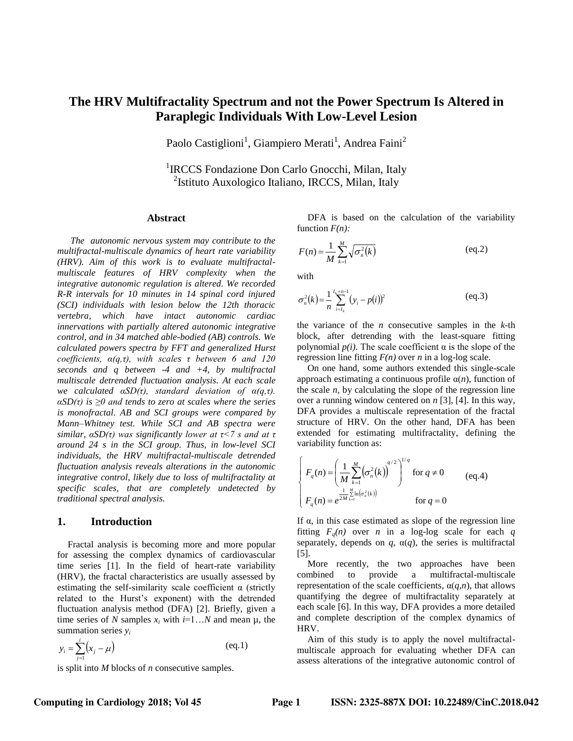# **The HRV Multifractality Spectrum and not the Power Spectrum Is Altered in Paraplegic Individuals With Low-Level Lesion**

Paolo Castiglioni<sup>1</sup>, Giampiero Merati<sup>1</sup>, Andrea Faini<sup>2</sup>

<sup>1</sup>IRCCS Fondazione Don Carlo Gnocchi, Milan, Italy <sup>2</sup>Istituto Auxologico Italiano, IRCCS, Milan, Italy

#### **Abstract**

*The autonomic nervous system may contribute to the multifractal-multiscale dynamics of heart rate variability (HRV). Aim of this work is to evaluate multifractalmultiscale features of HRV complexity when the integrative autonomic regulation is altered. We recorded R-R intervals for 10 minutes in 14 spinal cord injured (SCI) individuals with lesion below the 12th thoracic vertebra, which have intact autonomic cardiac innervations with partially altered autonomic integrative control, and in 34 matched able-bodied (AB) controls. We calculated powers spectra by FFT and generalized Hurst coefficients, α(q,τ), with scales τ between 6 and 120 seconds and q between -4 and +4, by multifractal multiscale detrended fluctuation analysis. At each scale we calculated αSD(τ), standard deviation of α(q,τ). αSD(τ) is ≥0 and tends to zero at scales where the series is monofractal. AB and SCI groups were compared by Mann–Whitney test. While SCI and AB spectra were similar, αSD(τ) was significantly lower at τ<7 s and at τ around 24 s in the SCI group. Thus, in low-level SCI individuals, the HRV multifractal-multiscale detrended fluctuation analysis reveals alterations in the autonomic integrative control, likely due to loss of multifractality at specific scales, that are completely undetected by traditional spectral analysis.*

#### **1. Introduction**

Fractal analysis is becoming more and more popular for assessing the complex dynamics of cardiovascular time series [1]. In the field of heart-rate variability (HRV), the fractal characteristics are usually assessed by estimating the self-similarity scale coefficient  $\alpha$  (strictly related to the Hurst's exponent) with the detrended fluctuation analysis method (DFA) [2]. Briefly, given a time series of *N* samples  $x_i$  with  $i=1...N$  and mean  $\mu$ , the summation series *y<sup>i</sup>*

$$
y_i = \sum_{j=1}^{i} (x_j - \mu)
$$
 (eq.1)

is split into *M* blocks of *n* consecutive samples.

DFA is based on the calculation of the variability function *F(n):*

$$
F(n) = \frac{1}{M} \sum_{k=1}^{M} \sqrt{\sigma_n^2(k)}
$$
 (eq.2)

with

$$
\sigma_n^2(k) = \frac{1}{n} \sum_{i=l_k}^{l_k+n-1} (y_i - p(i))^2
$$
 (eq.3)

the variance of the *n* consecutive samples in the *k*-th block, after detrending with the least-square fitting polynomial  $p(i)$ . The scale coefficient  $\alpha$  is the slope of the regression line fitting  $F(n)$  over *n* in a log-log scale.

On one hand, some authors extended this single-scale approach estimating a continuous profile α(*n*), function of the scale *n*, by calculating the slope of the regression line over a running window centered on *n* [3], [4]. In this way, DFA provides a multiscale representation of the fractal structure of HRV. On the other hand, DFA has been extended for estimating multifractality, defining the variability function as:

$$
\begin{cases}\nF_q(n) = \left(\frac{1}{M} \sum_{k=1}^{M} (\sigma_n^2(k))\right)^{q/2}\n\end{cases} \text{ for } q \neq 0 \quad (eq.4)
$$
\n
$$
F_q(n) = e^{\frac{1}{2M} \sum_{k=1}^{M} \ln(\sigma_n^2(k))} \quad \text{ for } q = 0
$$

If  $\alpha$ , in this case estimated as slope of the regression line fitting  $F_q(n)$  over *n* in a log-log scale for each *q* separately, depends on  $q$ ,  $\alpha(q)$ , the series is multifractal [5].

More recently, the two approaches have been combined to provide a multifractal-multiscale representation of the scale coefficients, α(*q,n*), that allows quantifying the degree of multifractality separately at each scale [6]. In this way, DFA provides a more detailed and complete description of the complex dynamics of HRV.

Aim of this study is to apply the novel multifractalmultiscale approach for evaluating whether DFA can assess alterations of the integrative autonomic control of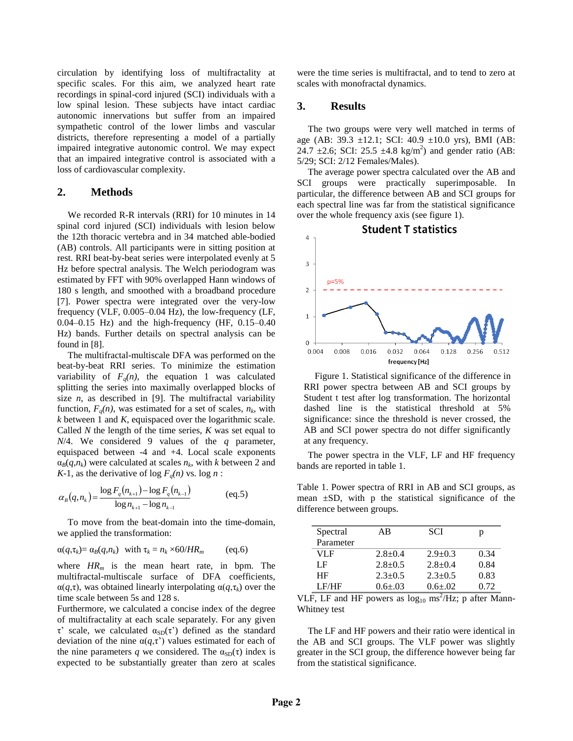circulation by identifying loss of multifractality at specific scales. For this aim, we analyzed heart rate recordings in spinal-cord injured (SCI) individuals with a low spinal lesion. These subjects have intact cardiac autonomic innervations but suffer from an impaired sympathetic control of the lower limbs and vascular districts, therefore representing a model of a partially impaired integrative autonomic control. We may expect that an impaired integrative control is associated with a loss of cardiovascular complexity.

# **2. Methods**

We recorded R-R intervals (RRI) for 10 minutes in 14 spinal cord injured (SCI) individuals with lesion below the 12th thoracic vertebra and in 34 matched able-bodied (AB) controls. All participants were in sitting position at rest. RRI beat-by-beat series were interpolated evenly at 5 Hz before spectral analysis. The Welch periodogram was estimated by FFT with 90% overlapped Hann windows of 180 s length, and smoothed with a broadband procedure [7]. Power spectra were integrated over the very-low frequency (VLF, 0.005–0.04 Hz), the low-frequency (LF, 0.04–0.15 Hz) and the high-frequency (HF, 0.15–0.40 Hz) bands. Further details on spectral analysis can be found in [8].

The multifractal-multiscale DFA was performed on the beat-by-beat RRI series. To minimize the estimation variability of  $F_q(n)$ , the equation 1 was calculated splitting the series into maximally overlapped blocks of size  $n$ , as described in [9]. The multifractal variability function,  $F_q(n)$ , was estimated for a set of scales,  $n_k$ , with *k* between 1 and *K*, equispaced over the logarithmic scale. Called *N* the length of the time series, *K* was set equal to *N*/4. We considered 9 values of the *q* parameter, equispaced between -4 and +4. Local scale exponents  $\alpha_B(q, n_k)$  were calculated at scales  $n_k$ , with *k* between 2 and *K*-1, as the derivative of  $\log F_q(n)$  vs.  $\log n$ :

$$
\alpha_{B}(q, n_{k}) = \frac{\log F_{q}(n_{k+1}) - \log F_{q}(n_{k-1})}{\log n_{k+1} - \log n_{k-1}}
$$
 (eq.5)

To move from the beat-domain into the time-domain, we applied the transformation:

$$
\alpha(q, \tau_k) = \alpha_B(q, n_k)
$$
 with  $\tau_k = n_k \times 60/HR_m$  (eq.6)

where *HR<sup>m</sup>* is the mean heart rate, in bpm. The multifractal-multiscale surface of DFA coefficients, α(*q*,τ), was obtained linearly interpolating α(*q*,τ*k*) over the time scale between 5s and 128 s.

Furthermore, we calculated a concise index of the degree of multifractality at each scale separately. For any given τ' scale, we calculated  $α<sub>SD</sub>(τ')$  defined as the standard deviation of the nine  $\alpha(q, \tau)$  values estimated for each of the nine parameters *q* we considered. The  $\alpha_{SD}(\tau)$  index is expected to be substantially greater than zero at scales

were the time series is multifractal, and to tend to zero at scales with monofractal dynamics.

## **3. Results**

The two groups were very well matched in terms of age (AB:  $39.3 \pm 12.1$ ; SCI:  $40.9 \pm 10.0$  yrs), BMI (AB: 24.7  $\pm$ 2.6; SCI: 25.5  $\pm$ 4.8 kg/m<sup>2</sup>) and gender ratio (AB: 5/29; SCI: 2/12 Females/Males).

The average power spectra calculated over the AB and SCI groups were practically superimposable. In particular, the difference between AB and SCI groups for each spectral line was far from the statistical significance over the whole frequency axis (see figure 1).



Figure 1. Statistical significance of the difference in RRI power spectra between AB and SCI groups by Student t test after log transformation. The horizontal dashed line is the statistical threshold at 5% significance: since the threshold is never crossed, the AB and SCI power spectra do not differ significantly at any frequency.

The power spectra in the VLF, LF and HF frequency bands are reported in table 1.

Table 1. Power spectra of RRI in AB and SCI groups, as mean  $\pm SD$ , with p the statistical significance of the difference between groups.

| Spectral  | AB          | <b>SCI</b>  | p    |
|-----------|-------------|-------------|------|
| Parameter |             |             |      |
| VLF       | $2.8 + 0.4$ | $2.9 + 0.3$ | 0.34 |
| LF        | $2.8 + 0.5$ | $2.8 + 0.4$ | 0.84 |
| HF        | $2.3 + 0.5$ | $2.3 + 0.5$ | 0.83 |
| LF/HF     | $0.6 + .03$ | $0.6 + .02$ | 0.72 |

VLF, LF and HF powers as  $log_{10}$  ms<sup>2</sup>/Hz; p after Mann-Whitney test

The LF and HF powers and their ratio were identical in the AB and SCI groups. The VLF power was slightly greater in the SCI group, the difference however being far from the statistical significance.